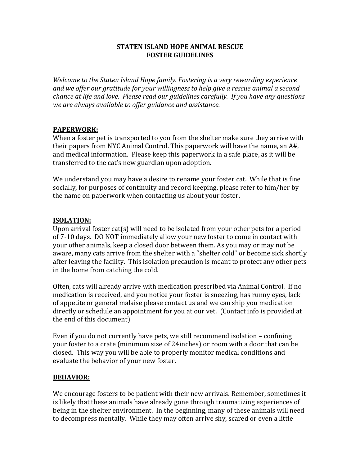#### **STATEN ISLAND HOPE ANIMAL RESCUE FOSTER GUIDELINES**

*Welcome to the Staten Island Hope family. Fostering is a very rewarding experience* and we offer our gratitude for your willingness to help give a rescue animal a second *chance at life and love. Please read our guidelines carefully. If you have any questions we are always available to offer guidance and assistance.* 

### **PAPERWORK:**

When a foster pet is transported to you from the shelter make sure they arrive with their papers from NYC Animal Control. This paperwork will have the name, an  $A#$ , and medical information. Please keep this paperwork in a safe place, as it will be transferred to the cat's new guardian upon adoption.

We understand you may have a desire to rename your foster cat. While that is fine socially, for purposes of continuity and record keeping, please refer to him/her by the name on paperwork when contacting us about your foster.

#### **ISOLATION:**

Upon arrival foster cat(s) will need to be isolated from your other pets for a period of 7-10 days. DO NOT immediately allow your new foster to come in contact with your other animals, keep a closed door between them. As you may or may not be aware, many cats arrive from the shelter with a "shelter cold" or become sick shortly after leaving the facility. This isolation precaution is meant to protect any other pets in the home from catching the cold.

Often, cats will already arrive with medication prescribed via Animal Control. If no medication is received, and you notice your foster is sneezing, has runny eyes, lack of appetite or general malaise please contact us and we can ship you medication directly or schedule an appointment for you at our vet. (Contact info is provided at the end of this document)

Even if you do not currently have pets, we still recommend isolation  $-$  confining your foster to a crate (minimum size of 24inches) or room with a door that can be closed. This way you will be able to properly monitor medical conditions and evaluate the behavior of your new foster.

### **BEHAVIOR:**

We encourage fosters to be patient with their new arrivals. Remember, sometimes it is likely that these animals have already gone through traumatizing experiences of being in the shelter environment. In the beginning, many of these animals will need to decompress mentally. While they may often arrive shy, scared or even a little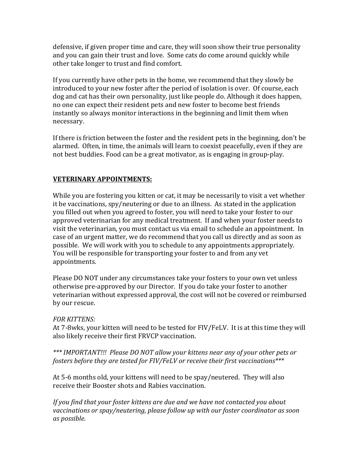defensive, if given proper time and care, they will soon show their true personality and you can gain their trust and love. Some cats do come around quickly while other take longer to trust and find comfort.

If you currently have other pets in the home, we recommend that they slowly be introduced to your new foster after the period of isolation is over. Of course, each dog and cat has their own personality, just like people do. Although it does happen, no one can expect their resident pets and new foster to become best friends instantly so always monitor interactions in the beginning and limit them when necessary.

If there is friction between the foster and the resident pets in the beginning, don't be alarmed. Often, in time, the animals will learn to coexist peacefully, even if they are not best buddies. Food can be a great motivator, as is engaging in group-play.

# **VETERINARY APPOINTMENTS:**

While you are fostering you kitten or cat, it may be necessarily to visit a vet whether it be vaccinations, spy/neutering or due to an illness. As stated in the application you filled out when you agreed to foster, you will need to take your foster to our approved veterinarian for any medical treatment. If and when your foster needs to visit the veterinarian, you must contact us via email to schedule an appointment. In case of an urgent matter, we do recommend that you call us directly and as soon as possible. We will work with you to schedule to any appointments appropriately. You will be responsible for transporting your foster to and from any vet appointments.

Please DO NOT under any circumstances take your fosters to your own vet unless otherwise pre-approved by our Director. If you do take your foster to another veterinarian without expressed approval, the cost will not be covered or reimbursed by our rescue.

### *FOR KITTENS:*

At 7-8wks, your kitten will need to be tested for  $FIV/FeLV$ . It is at this time they will also likely receive their first FRVCP vaccination.

\*\*\* IMPORTANT!!! Please DO NOT allow your kittens near any of your other pets or *fosters before they are tested for FIV/FeLV or receive their first vaccinations\*\*\** 

At 5-6 months old, your kittens will need to be spay/neutered. They will also receive their Booster shots and Rabies vaccination.

*If* you find that your foster kittens are due and we have not contacted you about vaccinations or spay/neutering, please follow up with our foster coordinator as soon *as possible.*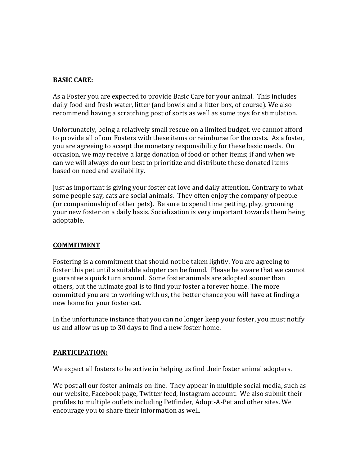# **BASIC CARE:**

As a Foster you are expected to provide Basic Care for your animal. This includes daily food and fresh water, litter (and bowls and a litter box, of course). We also recommend having a scratching post of sorts as well as some toys for stimulation.

Unfortunately, being a relatively small rescue on a limited budget, we cannot afford to provide all of our Fosters with these items or reimburse for the costs. As a foster, you are agreeing to accept the monetary responsibility for these basic needs. On occasion, we may receive a large donation of food or other items; if and when we can we will always do our best to prioritize and distribute these donated items based on need and availability.

Just as important is giving your foster cat love and daily attention. Contrary to what some people say, cats are social animals. They often enjoy the company of people (or companionship of other pets). Be sure to spend time petting, play, grooming your new foster on a daily basis. Socialization is very important towards them being adoptable.

### **COMMITMENT**

Fostering is a commitment that should not be taken lightly. You are agreeing to foster this pet until a suitable adopter can be found. Please be aware that we cannot guarantee a quick turn around. Some foster animals are adopted sooner than others, but the ultimate goal is to find your foster a forever home. The more committed you are to working with us, the better chance you will have at finding a new home for your foster cat.

In the unfortunate instance that you can no longer keep your foster, you must notify us and allow us up to 30 days to find a new foster home.

### **PARTICIPATION:**

We expect all fosters to be active in helping us find their foster animal adopters.

We post all our foster animals on-line. They appear in multiple social media, such as our website, Facebook page, Twitter feed, Instagram account. We also submit their profiles to multiple outlets including Petfinder, Adopt-A-Pet and other sites. We encourage you to share their information as well.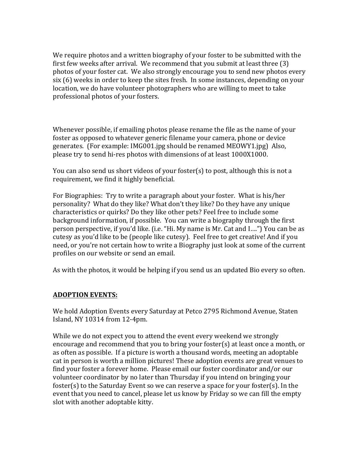We require photos and a written biography of your foster to be submitted with the first few weeks after arrival. We recommend that you submit at least three  $(3)$ photos of your foster cat. We also strongly encourage you to send new photos every  $six(6)$  weeks in order to keep the sites fresh. In some instances, depending on your location, we do have volunteer photographers who are willing to meet to take professional photos of your fosters.

Whenever possible, if emailing photos please rename the file as the name of your foster as opposed to whatever generic filename your camera, phone or device generates. (For example: IMG001.jpg should be renamed MEOWY1.jpg) Also, please try to send hi-res photos with dimensions of at least 1000X1000.

You can also send us short videos of your foster(s) to post, although this is not a requirement, we find it highly beneficial.

For Biographies: Try to write a paragraph about your foster. What is his/her personality? What do they like? What don't they like? Do they have any unique characteristics or quirks? Do they like other pets? Feel free to include some background information, if possible. You can write a biography through the first person perspective, if you'd like. (i.e. "Hi. My name is Mr. Cat and I....") You can be as cutesy as you'd like to be (people like cutesy). Feel free to get creative! And if you need, or you're not certain how to write a Biography just look at some of the current profiles on our website or send an email.

As with the photos, it would be helping if you send us an updated Bio every so often.

# **ADOPTION EVENTS:**

We hold Adoption Events every Saturday at Petco 2795 Richmond Avenue, Staten Island, NY 10314 from 12-4pm.

While we do not expect you to attend the event every weekend we strongly encourage and recommend that you to bring your foster(s) at least once a month, or as often as possible. If a picture is worth a thousand words, meeting an adoptable cat in person is worth a million pictures! These adoption events are great venues to find your foster a forever home. Please email our foster coordinator and/or our volunteer coordinator by no later than Thursday if you intend on bringing your foster(s) to the Saturday Event so we can reserve a space for your foster(s). In the event that you need to cancel, please let us know by Friday so we can fill the empty slot with another adoptable kitty.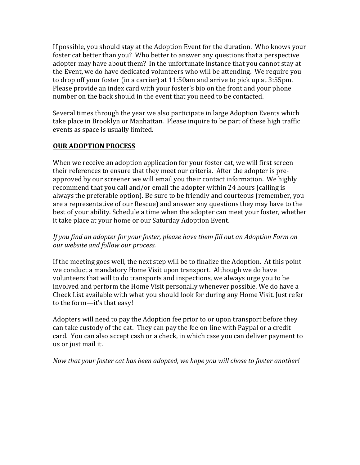If possible, you should stay at the Adoption Event for the duration. Who knows your foster cat better than you? Who better to answer any questions that a perspective adopter may have about them? In the unfortunate instance that you cannot stay at the Event, we do have dedicated volunteers who will be attending. We require you to drop off your foster (in a carrier) at  $11:50$ am and arrive to pick up at  $3:55$ pm. Please provide an index card with your foster's bio on the front and your phone number on the back should in the event that you need to be contacted.

Several times through the year we also participate in large Adoption Events which take place in Brooklyn or Manhattan. Please inquire to be part of these high traffic events as space is usually limited.

## **OUR ADOPTION PROCESS**

When we receive an adoption application for your foster cat, we will first screen their references to ensure that they meet our criteria. After the adopter is preapproved by our screener we will email you their contact information. We highly recommend that you call and/or email the adopter within 24 hours (calling is always the preferable option). Be sure to be friendly and courteous (remember, you are a representative of our Rescue) and answer any questions they may have to the best of your ability. Schedule a time when the adopter can meet your foster, whether it take place at your home or our Saturday Adoption Event.

## If you find an adopter for your foster, please have them fill out an Adoption Form on *our website and follow our process.*

If the meeting goes well, the next step will be to finalize the Adoption. At this point we conduct a mandatory Home Visit upon transport. Although we do have volunteers that will to do transports and inspections, we always urge you to be involved and perform the Home Visit personally whenever possible. We do have a Check List available with what you should look for during any Home Visit. Just refer to the form-it's that easy!

Adopters will need to pay the Adoption fee prior to or upon transport before they can take custody of the cat. They can pay the fee on-line with Paypal or a credit card. You can also accept cash or a check, in which case you can deliver payment to us or just mail it.

### *Now that your foster cat has been adopted, we hope you will chose to foster another!*